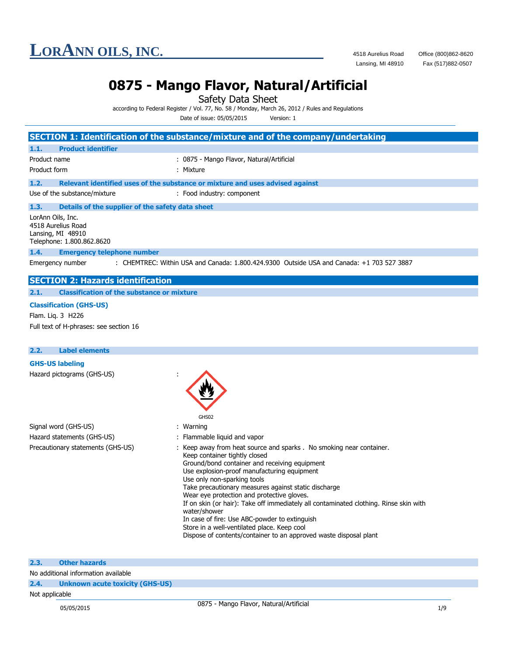Fax (517)882-0507

### **0875 - Mango Flavor, Natural/Artificial**

Safety Data Sheet

according to Federal Register / Vol. 77, No. 58 / Monday, March 26, 2012 / Rules and Regulations

|              |                                                                                                                                | Date of issue: 05/05/2015<br>Version: 1                                                                                                                                                                                                                                                                                                                                                                                                           |
|--------------|--------------------------------------------------------------------------------------------------------------------------------|---------------------------------------------------------------------------------------------------------------------------------------------------------------------------------------------------------------------------------------------------------------------------------------------------------------------------------------------------------------------------------------------------------------------------------------------------|
|              |                                                                                                                                | SECTION 1: Identification of the substance/mixture and of the company/undertaking                                                                                                                                                                                                                                                                                                                                                                 |
| 1.1.         | <b>Product identifier</b>                                                                                                      |                                                                                                                                                                                                                                                                                                                                                                                                                                                   |
| Product name |                                                                                                                                | : 0875 - Mango Flavor, Natural/Artificial                                                                                                                                                                                                                                                                                                                                                                                                         |
| Product form |                                                                                                                                | : Mixture                                                                                                                                                                                                                                                                                                                                                                                                                                         |
| 1.2.         |                                                                                                                                | Relevant identified uses of the substance or mixture and uses advised against                                                                                                                                                                                                                                                                                                                                                                     |
|              | Use of the substance/mixture                                                                                                   | : Food industry: component                                                                                                                                                                                                                                                                                                                                                                                                                        |
| 1.3.         |                                                                                                                                | Details of the supplier of the safety data sheet                                                                                                                                                                                                                                                                                                                                                                                                  |
| 1.4.         | LorAnn Oils, Inc.<br>4518 Aurelius Road<br>Lansing, MI 48910<br>Telephone: 1.800.862.8620<br><b>Emergency telephone number</b> |                                                                                                                                                                                                                                                                                                                                                                                                                                                   |
|              | Emergency number                                                                                                               | : CHEMTREC: Within USA and Canada: 1.800.424.9300 Outside USA and Canada: +1 703 527 3887                                                                                                                                                                                                                                                                                                                                                         |
|              | <b>SECTION 2: Hazards identification</b>                                                                                       |                                                                                                                                                                                                                                                                                                                                                                                                                                                   |
| 2.1.         | <b>Classification of the substance or mixture</b>                                                                              |                                                                                                                                                                                                                                                                                                                                                                                                                                                   |
|              | <b>Classification (GHS-US)</b>                                                                                                 |                                                                                                                                                                                                                                                                                                                                                                                                                                                   |
|              | Flam. Lig. 3 H226                                                                                                              |                                                                                                                                                                                                                                                                                                                                                                                                                                                   |
|              | Full text of H-phrases: see section 16                                                                                         |                                                                                                                                                                                                                                                                                                                                                                                                                                                   |
|              |                                                                                                                                |                                                                                                                                                                                                                                                                                                                                                                                                                                                   |
| 2.2.         | <b>Label elements</b>                                                                                                          |                                                                                                                                                                                                                                                                                                                                                                                                                                                   |
|              | <b>GHS-US labeling</b>                                                                                                         |                                                                                                                                                                                                                                                                                                                                                                                                                                                   |
|              | Hazard pictograms (GHS-US)                                                                                                     |                                                                                                                                                                                                                                                                                                                                                                                                                                                   |
|              |                                                                                                                                | GHS02                                                                                                                                                                                                                                                                                                                                                                                                                                             |
|              | Signal word (GHS-US)                                                                                                           | : Warning                                                                                                                                                                                                                                                                                                                                                                                                                                         |
|              | Hazard statements (GHS-US)                                                                                                     | : Flammable liquid and vapor                                                                                                                                                                                                                                                                                                                                                                                                                      |
|              | Precautionary statements (GHS-US)                                                                                              | Keep away from heat source and sparks . No smoking near container.<br>Keep container tightly closed<br>Ground/bond container and receiving equipment<br>Use explosion-proof manufacturing equipment<br>Use only non-sparking tools<br>Take precautionary measures against static discharge<br>Wear eye protection and protective gloves.<br>If on skin (or hair): Take off immediately all contaminated clothing. Rinse skin with<br>water/shower |

In case of fire: Use ABC-powder to extinguish

Store in a well-ventilated place. Keep cool

Dispose of contents/container to an approved waste disposal plant

| 2.3. |  | <b>Other hazards</b> |  |
|------|--|----------------------|--|
|      |  |                      |  |

No additional information available

### **2.4. Unknown acute toxicity (GHS-US)**

### Not applicable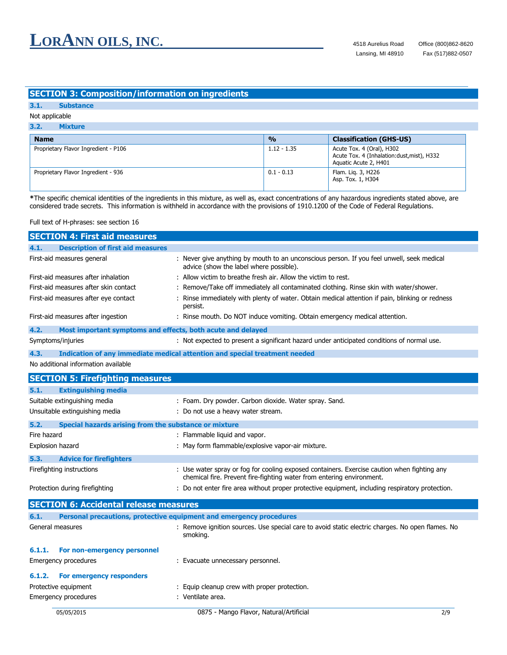### **SECTION 3: Composition/information on ingredients**

| $3.1 -$ | <b>Substance</b> |
|---------|------------------|
|         |                  |

### Not applicable

| 3.2.<br><b>Mixture</b>               |               |                                                                                                   |  |  |
|--------------------------------------|---------------|---------------------------------------------------------------------------------------------------|--|--|
| <b>Name</b>                          | $\frac{0}{0}$ | <b>Classification (GHS-US)</b>                                                                    |  |  |
| Proprietary Flavor Ingredient - P106 | $1.12 - 1.35$ | Acute Tox. 4 (Oral), H302<br>Acute Tox. 4 (Inhalation: dust, mist), H332<br>Aguatic Acute 2, H401 |  |  |
| Proprietary Flavor Ingredient - 936  | $0.1 - 0.13$  | Flam. Lig. 3, H226<br>Asp. Tox. 1, H304                                                           |  |  |

**\***The specific chemical identities of the ingredients in this mixture, as well as, exact concentrations of any hazardous ingredients stated above, are considered trade secrets. This information is withheld in accordance with the provisions of 1910.1200 of the Code of Federal Regulations.

Full text of H-phrases: see section 16

|             | <b>SECTION 4: First aid measures</b>                        |                                                                                                                                                                      |  |
|-------------|-------------------------------------------------------------|----------------------------------------------------------------------------------------------------------------------------------------------------------------------|--|
| 4.1.        | <b>Description of first aid measures</b>                    |                                                                                                                                                                      |  |
|             | First-aid measures general                                  | : Never give anything by mouth to an unconscious person. If you feel unwell, seek medical<br>advice (show the label where possible).                                 |  |
|             | First-aid measures after inhalation                         | : Allow victim to breathe fresh air. Allow the victim to rest.                                                                                                       |  |
|             | First-aid measures after skin contact                       | Remove/Take off immediately all contaminated clothing. Rinse skin with water/shower.                                                                                 |  |
|             | First-aid measures after eye contact                        | Rinse immediately with plenty of water. Obtain medical attention if pain, blinking or redness<br>persist.                                                            |  |
|             | First-aid measures after ingestion                          | : Rinse mouth. Do NOT induce vomiting. Obtain emergency medical attention.                                                                                           |  |
| 4.2.        | Most important symptoms and effects, both acute and delayed |                                                                                                                                                                      |  |
|             | Symptoms/injuries                                           | : Not expected to present a significant hazard under anticipated conditions of normal use.                                                                           |  |
| 4.3.        |                                                             | Indication of any immediate medical attention and special treatment needed                                                                                           |  |
|             | No additional information available                         |                                                                                                                                                                      |  |
|             | <b>SECTION 5: Firefighting measures</b>                     |                                                                                                                                                                      |  |
| 5.1.        | <b>Extinguishing media</b>                                  |                                                                                                                                                                      |  |
|             | Suitable extinguishing media                                | : Foam. Dry powder. Carbon dioxide. Water spray. Sand.                                                                                                               |  |
|             | Unsuitable extinguishing media                              | : Do not use a heavy water stream.                                                                                                                                   |  |
| 5.2.        | Special hazards arising from the substance or mixture       |                                                                                                                                                                      |  |
| Fire hazard |                                                             | : Flammable liquid and vapor.                                                                                                                                        |  |
|             | Explosion hazard                                            | : May form flammable/explosive vapor-air mixture.                                                                                                                    |  |
| 5.3.        | <b>Advice for firefighters</b>                              |                                                                                                                                                                      |  |
|             | Firefighting instructions                                   | : Use water spray or fog for cooling exposed containers. Exercise caution when fighting any<br>chemical fire. Prevent fire-fighting water from entering environment. |  |
|             | Protection during firefighting                              | : Do not enter fire area without proper protective equipment, including respiratory protection.                                                                      |  |
|             | <b>SECTION 6: Accidental release measures</b>               |                                                                                                                                                                      |  |
| 6.1.        |                                                             | Personal precautions, protective equipment and emergency procedures                                                                                                  |  |
|             | General measures                                            | : Remove ignition sources. Use special care to avoid static electric charges. No open flames. No<br>smoking.                                                         |  |
| 6.1.1.      | For non-emergency personnel                                 |                                                                                                                                                                      |  |
|             | Emergency procedures                                        | : Evacuate unnecessary personnel.                                                                                                                                    |  |
| 6.1.2.      | For emergency responders                                    |                                                                                                                                                                      |  |
|             | Protective equipment                                        | : Equip cleanup crew with proper protection.                                                                                                                         |  |
|             | Emergency procedures                                        | : Ventilate area.                                                                                                                                                    |  |
|             | 05/05/2015                                                  | 0875 - Mango Flavor, Natural/Artificial<br>2/9                                                                                                                       |  |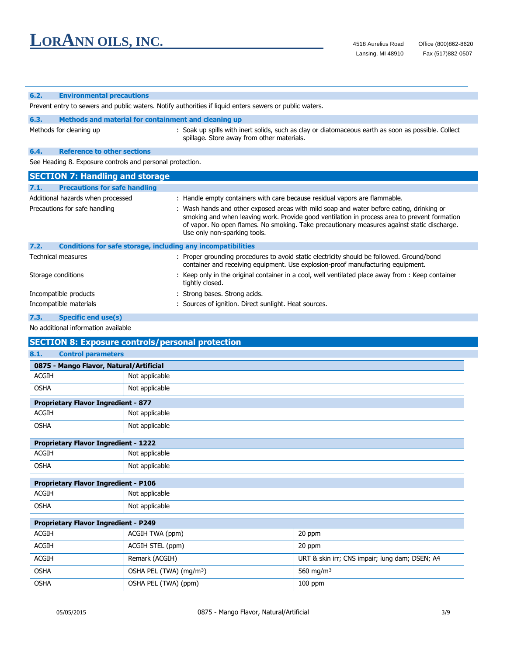L,

| 6.2.                          | <b>Environmental precautions</b>           |                                                                                                                                                                                                                                                                                                                         |
|-------------------------------|--------------------------------------------|-------------------------------------------------------------------------------------------------------------------------------------------------------------------------------------------------------------------------------------------------------------------------------------------------------------------------|
|                               |                                            | Prevent entry to sewers and public waters. Notify authorities if liquid enters sewers or public waters.                                                                                                                                                                                                                 |
| 6.3.                          |                                            | Methods and material for containment and cleaning up                                                                                                                                                                                                                                                                    |
|                               | Methods for cleaning up                    | : Soak up spills with inert solids, such as clay or diatomaceous earth as soon as possible. Collect<br>spillage. Store away from other materials.                                                                                                                                                                       |
| 6.4.                          | <b>Reference to other sections</b>         |                                                                                                                                                                                                                                                                                                                         |
|                               |                                            | See Heading 8. Exposure controls and personal protection.                                                                                                                                                                                                                                                               |
|                               | <b>SECTION 7: Handling and storage</b>     |                                                                                                                                                                                                                                                                                                                         |
| 7.1.                          | <b>Precautions for safe handling</b>       |                                                                                                                                                                                                                                                                                                                         |
|                               | Additional hazards when processed          | : Handle empty containers with care because residual vapors are flammable.                                                                                                                                                                                                                                              |
| Precautions for safe handling |                                            | : Wash hands and other exposed areas with mild soap and water before eating, drinking or<br>smoking and when leaving work. Provide good ventilation in process area to prevent formation<br>of vapor. No open flames. No smoking. Take precautionary measures against static discharge.<br>Use only non-sparking tools. |
| 7.2.                          |                                            | <b>Conditions for safe storage, including any incompatibilities</b>                                                                                                                                                                                                                                                     |
| <b>Technical measures</b>     |                                            | : Proper grounding procedures to avoid static electricity should be followed. Ground/bond<br>container and receiving equipment. Use explosion-proof manufacturing equipment.                                                                                                                                            |
| Storage conditions            |                                            | : Keep only in the original container in a cool, well ventilated place away from : Keep container<br>tightly closed.                                                                                                                                                                                                    |
|                               | Incompatible products                      | : Strong bases. Strong acids.                                                                                                                                                                                                                                                                                           |
|                               | Incompatible materials                     | : Sources of ignition. Direct sunlight. Heat sources.                                                                                                                                                                                                                                                                   |
| 7.3.                          | <b>Specific end use(s)</b>                 |                                                                                                                                                                                                                                                                                                                         |
|                               | No additional information available        |                                                                                                                                                                                                                                                                                                                         |
|                               |                                            | <b>SECTION 8: Exposure controls/personal protection</b>                                                                                                                                                                                                                                                                 |
| 8.1.                          | <b>Control parameters</b>                  |                                                                                                                                                                                                                                                                                                                         |
|                               | 0875 - Mango Flavor, Natural/Artificial    |                                                                                                                                                                                                                                                                                                                         |
| <b>ACGIH</b>                  |                                            | Not applicable                                                                                                                                                                                                                                                                                                          |
| <b>OSHA</b>                   |                                            | Not applicable                                                                                                                                                                                                                                                                                                          |
|                               | <b>Proprietary Flavor Ingredient - 877</b> |                                                                                                                                                                                                                                                                                                                         |
| <b>ACGIH</b>                  |                                            | Not applicable                                                                                                                                                                                                                                                                                                          |
| <b>OSHA</b>                   |                                            | Not applicable                                                                                                                                                                                                                                                                                                          |

| <b>Proprietary Flavor Ingredient - 1222</b> |                |  |
|---------------------------------------------|----------------|--|
| ACGIH                                       | Not applicable |  |
| OSHA                                        | Not applicable |  |

| <b>Proprietary Flavor Ingredient - P106</b> |                  |  |
|---------------------------------------------|------------------|--|
| ACGIH                                       | ' Not applicable |  |
| OSHA                                        | Not applicable   |  |

| <b>Proprietary Flavor Ingredient - P249</b> |                                     |                                                |  |
|---------------------------------------------|-------------------------------------|------------------------------------------------|--|
| <b>ACGIH</b>                                | ACGIH TWA (ppm)                     | 20 ppm                                         |  |
| <b>ACGIH</b>                                | ACGIH STEL (ppm)                    | 20 ppm                                         |  |
| <b>ACGIH</b>                                | Remark (ACGIH)                      | URT & skin irr; CNS impair; lung dam; DSEN; A4 |  |
| <b>OSHA</b>                                 | OSHA PEL (TWA) (mg/m <sup>3</sup> ) | 560 mg/m <sup>3</sup>                          |  |
| <b>OSHA</b>                                 | OSHA PEL (TWA) (ppm)                | $100$ ppm                                      |  |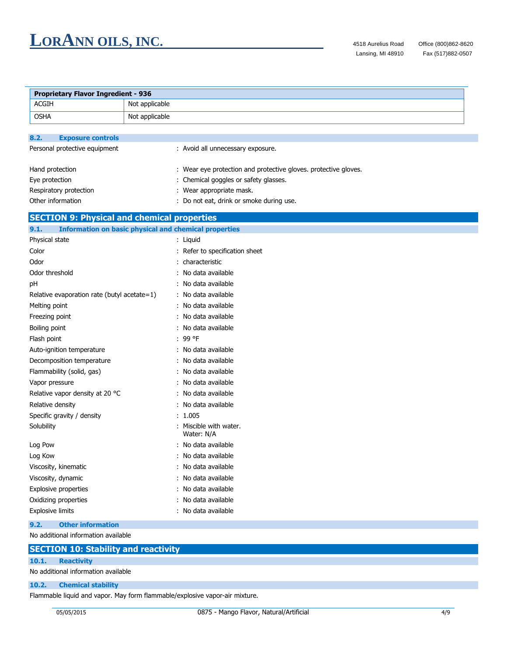L.

| <b>Proprietary Flavor Ingredient - 936</b>  |                                                                 |  |  |  |
|---------------------------------------------|-----------------------------------------------------------------|--|--|--|
| <b>ACGIH</b>                                | Not applicable                                                  |  |  |  |
| <b>OSHA</b>                                 | Not applicable                                                  |  |  |  |
|                                             |                                                                 |  |  |  |
| 8.2.<br><b>Exposure controls</b>            |                                                                 |  |  |  |
| Personal protective equipment               | : Avoid all unnecessary exposure.                               |  |  |  |
|                                             |                                                                 |  |  |  |
| Hand protection                             | : Wear eye protection and protective gloves. protective gloves. |  |  |  |
| Eye protection                              | : Chemical goggles or safety glasses.                           |  |  |  |
| Respiratory protection                      | : Wear appropriate mask.                                        |  |  |  |
| Other information                           | : Do not eat, drink or smoke during use.                        |  |  |  |
|                                             | <b>SECTION 9: Physical and chemical properties</b>              |  |  |  |
| 9.1.                                        | <b>Information on basic physical and chemical properties</b>    |  |  |  |
| Physical state                              | : Liquid                                                        |  |  |  |
| Color                                       | : Refer to specification sheet                                  |  |  |  |
| Odor                                        | : characteristic                                                |  |  |  |
| Odor threshold                              | : No data available                                             |  |  |  |
| pH                                          | : No data available                                             |  |  |  |
| Relative evaporation rate (butyl acetate=1) | : No data available                                             |  |  |  |
| Melting point                               | : No data available                                             |  |  |  |
| Freezing point                              | : No data available                                             |  |  |  |
| Boiling point                               | : No data available                                             |  |  |  |
| Flash point                                 | : 99 °F                                                         |  |  |  |
| Auto-ignition temperature                   | : No data available                                             |  |  |  |
| Decomposition temperature                   | : No data available                                             |  |  |  |
| Flammability (solid, gas)                   | : No data available                                             |  |  |  |
| Vapor pressure                              | : No data available                                             |  |  |  |
| Relative vapor density at 20 °C             | : No data available                                             |  |  |  |
| Relative density                            | : No data available                                             |  |  |  |
| Specific gravity / density                  | : 1.005                                                         |  |  |  |
| Solubility                                  | : Miscible with water.<br>Water: N/A                            |  |  |  |
| Log Pow                                     | : No data available                                             |  |  |  |
| Log Kow                                     | : No data available                                             |  |  |  |
| Viscosity, kinematic                        | : No data available                                             |  |  |  |
| Viscosity, dynamic                          | : No data available                                             |  |  |  |
| Explosive properties                        | : No data available                                             |  |  |  |
| Oxidizing properties                        | : No data available                                             |  |  |  |
| Explosive limits                            | : No data available                                             |  |  |  |
| <b>Other information</b><br>9.2.            |                                                                 |  |  |  |

No additional information available

|  |  | <b>SECTION 10: Stability and reactivity</b> |
|--|--|---------------------------------------------|
|  |  |                                             |

**10.1. Reactivity**

No additional information available

### **10.2. Chemical stability**

Flammable liquid and vapor. May form flammable/explosive vapor-air mixture.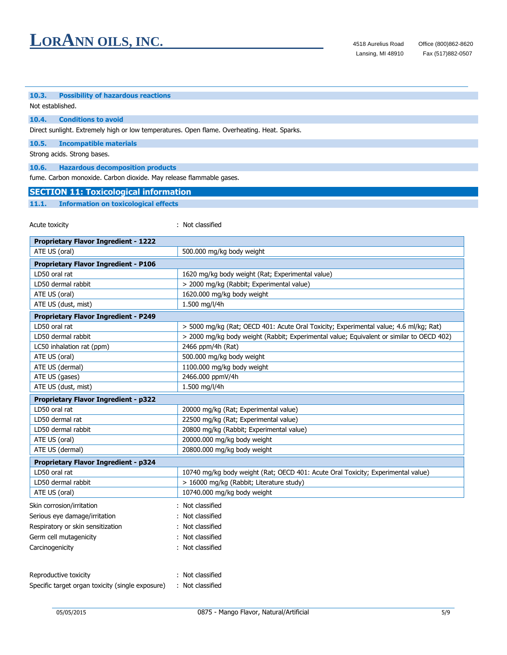### **10.3. Possibility of hazardous reactions**

Not established.

### **10.4. Conditions to avoid**

Direct sunlight. Extremely high or low temperatures. Open flame. Overheating. Heat. Sparks.

**10.5. Incompatible materials**

Strong acids. Strong bases.

**10.6. Hazardous decomposition products**

fume. Carbon monoxide. Carbon dioxide. May release flammable gases.

### **SECTION 11: Toxicological information**

### **11.1. Information on toxicological effects**

Acute toxicity in the set of the set of the set of the set of the set of the set of the set of the set of the set of the set of the set of the set of the set of the set of the set of the set of the set of the set of the se

| <b>Proprietary Flavor Ingredient - 1222</b>      |                                                                                          |  |  |  |
|--------------------------------------------------|------------------------------------------------------------------------------------------|--|--|--|
| ATE US (oral)                                    | 500.000 mg/kg body weight                                                                |  |  |  |
| <b>Proprietary Flavor Ingredient - P106</b>      |                                                                                          |  |  |  |
| LD50 oral rat                                    | 1620 mg/kg body weight (Rat; Experimental value)                                         |  |  |  |
| LD50 dermal rabbit                               | > 2000 mg/kg (Rabbit; Experimental value)                                                |  |  |  |
| ATE US (oral)                                    | 1620.000 mg/kg body weight                                                               |  |  |  |
| ATE US (dust, mist)                              | 1.500 mg/l/4h                                                                            |  |  |  |
| <b>Proprietary Flavor Ingredient - P249</b>      |                                                                                          |  |  |  |
| LD50 oral rat                                    | > 5000 mg/kg (Rat; OECD 401: Acute Oral Toxicity; Experimental value; 4.6 ml/kg; Rat)    |  |  |  |
| LD50 dermal rabbit                               | > 2000 mg/kg body weight (Rabbit; Experimental value; Equivalent or similar to OECD 402) |  |  |  |
| LC50 inhalation rat (ppm)                        | 2466 ppm/4h (Rat)                                                                        |  |  |  |
| ATE US (oral)                                    | 500.000 mg/kg body weight                                                                |  |  |  |
| ATE US (dermal)                                  | 1100.000 mg/kg body weight                                                               |  |  |  |
| ATE US (gases)                                   | 2466.000 ppmV/4h                                                                         |  |  |  |
| ATE US (dust, mist)                              | 1.500 mg/l/4h                                                                            |  |  |  |
| <b>Proprietary Flavor Ingredient - p322</b>      |                                                                                          |  |  |  |
| LD50 oral rat                                    | 20000 mg/kg (Rat; Experimental value)                                                    |  |  |  |
| LD50 dermal rat                                  | 22500 mg/kg (Rat; Experimental value)                                                    |  |  |  |
| LD50 dermal rabbit                               | 20800 mg/kg (Rabbit; Experimental value)                                                 |  |  |  |
| ATE US (oral)                                    | 20000.000 mg/kg body weight                                                              |  |  |  |
| ATE US (dermal)                                  | 20800.000 mg/kg body weight                                                              |  |  |  |
| <b>Proprietary Flavor Ingredient - p324</b>      |                                                                                          |  |  |  |
| LD50 oral rat                                    | 10740 mg/kg body weight (Rat; OECD 401: Acute Oral Toxicity; Experimental value)         |  |  |  |
| LD50 dermal rabbit                               | > 16000 mg/kg (Rabbit; Literature study)                                                 |  |  |  |
| ATE US (oral)                                    | 10740.000 mg/kg body weight                                                              |  |  |  |
| Skin corrosion/irritation                        | : Not classified                                                                         |  |  |  |
| Serious eye damage/irritation                    | Not classified                                                                           |  |  |  |
| Respiratory or skin sensitization                | Not classified                                                                           |  |  |  |
| Germ cell mutagenicity                           | Not classified                                                                           |  |  |  |
| Carcinogenicity                                  | Not classified                                                                           |  |  |  |
|                                                  |                                                                                          |  |  |  |
| Reproductive toxicity                            | Not classified                                                                           |  |  |  |
| Specific target organ toxicity (single exposure) | : Not classified                                                                         |  |  |  |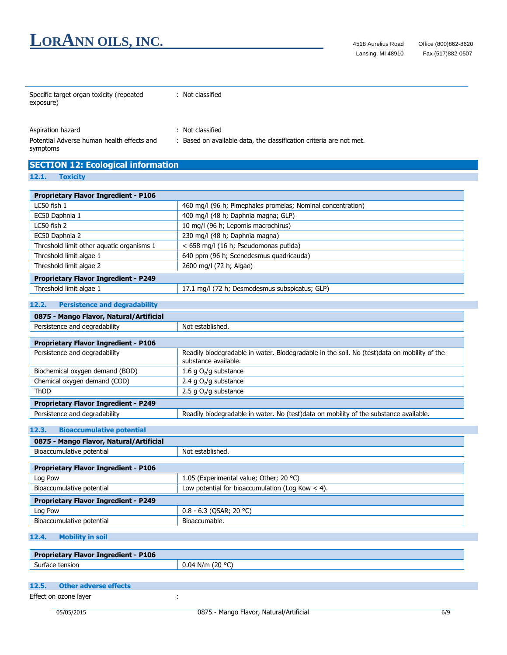| Specific target organ toxicity (repeated<br>exposure)                       | : Not classified                                                                        |
|-----------------------------------------------------------------------------|-----------------------------------------------------------------------------------------|
| Aspiration hazard<br>Potential Adverse human health effects and<br>symptoms | : Not classified<br>: Based on available data, the classification criteria are not met. |
| <b>SECTION 12: Ecological information</b><br>12.1.<br><b>Toxicity</b>       |                                                                                         |
| <b>Dropriotory Elever Ingradiant - D106</b>                                 |                                                                                         |

| Proprietary Flavor Ingredient - P106        |                                                             |  |
|---------------------------------------------|-------------------------------------------------------------|--|
| LC50 fish 1                                 | 460 mg/l (96 h; Pimephales promelas; Nominal concentration) |  |
| EC50 Daphnia 1                              | 400 mg/l (48 h; Daphnia magna; GLP)                         |  |
| LC50 fish 2                                 | 10 mg/l (96 h; Lepomis macrochirus)                         |  |
| EC50 Daphnia 2                              | 230 mg/l (48 h; Daphnia magna)                              |  |
| Threshold limit other aquatic organisms 1   | < 658 mg/l (16 h; Pseudomonas putida)                       |  |
| Threshold limit algae 1                     | 640 ppm (96 h; Scenedesmus quadricauda)                     |  |
| Threshold limit algae 2                     | 2600 mg/l (72 h; Algae)                                     |  |
| <b>Proprietary Flavor Ingredient - P249</b> |                                                             |  |
| Threshold limit algae 1                     | 17.1 mg/l (72 h; Desmodesmus subspicatus; GLP)              |  |

### **12.2. Persistence and degradability**

| 0875 - Mango Flavor, Natural/Artificial     |                                                                                                                     |  |
|---------------------------------------------|---------------------------------------------------------------------------------------------------------------------|--|
| Persistence and degradability               | Not established.                                                                                                    |  |
|                                             |                                                                                                                     |  |
| <b>Proprietary Flavor Ingredient - P106</b> |                                                                                                                     |  |
| Persistence and degradability               | Readily biodegradable in water. Biodegradable in the soil. No (test)data on mobility of the<br>substance available. |  |
| Biochemical oxygen demand (BOD)             | 1.6 g $O_2$ /g substance                                                                                            |  |
| Chemical oxygen demand (COD)                | 2.4 g $O_2$ /g substance                                                                                            |  |
| <b>ThOD</b>                                 | 2.5 g $O_2$ /g substance                                                                                            |  |
| <b>Proprietary Flavor Ingredient - P249</b> |                                                                                                                     |  |
| Persistence and degradability               | Readily biodegradable in water. No (test)data on mobility of the substance available.                               |  |

### **12.3. Bioaccumulative potential**

| 0875 - Mango Flavor, Natural/Artificial            |  |  |
|----------------------------------------------------|--|--|
| Not established.                                   |  |  |
|                                                    |  |  |
|                                                    |  |  |
| 1.05 (Experimental value; Other; 20 °C)            |  |  |
| Low potential for bioaccumulation (Log Kow $<$ 4). |  |  |
| <b>Proprietary Flavor Ingredient - P249</b>        |  |  |
| $0.8 - 6.3$ (QSAR; 20 °C)                          |  |  |
| Bioaccumable.                                      |  |  |
|                                                    |  |  |

### **12.4. Mobility in soil**

| <b>Flavor Ingredient - P106</b><br><b>Propr</b><br><b>uprietary</b> |                  |
|---------------------------------------------------------------------|------------------|
| $\overline{\phantom{0}}$<br>Surface<br>. tensior                    | N/m<br>ПZ<br>v.v |

| 12.5. Other adverse effects |  |  |  |
|-----------------------------|--|--|--|
| Effect on ozone layer       |  |  |  |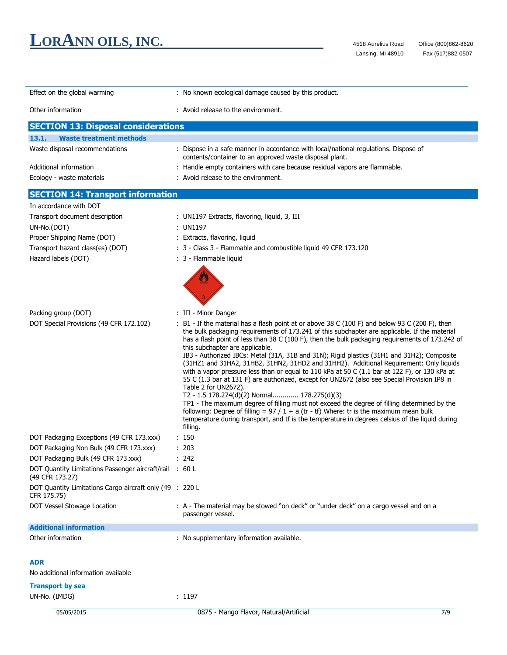| Effect on the global warming                                               | : No known ecological damage caused by this product.                                                                                                                                                                                                                                                                                                                                                                                                                                                                                                                                                                                                                                                                                                                                                                                                                                                                                                                                                                                                                                                            |  |
|----------------------------------------------------------------------------|-----------------------------------------------------------------------------------------------------------------------------------------------------------------------------------------------------------------------------------------------------------------------------------------------------------------------------------------------------------------------------------------------------------------------------------------------------------------------------------------------------------------------------------------------------------------------------------------------------------------------------------------------------------------------------------------------------------------------------------------------------------------------------------------------------------------------------------------------------------------------------------------------------------------------------------------------------------------------------------------------------------------------------------------------------------------------------------------------------------------|--|
| Other information                                                          | : Avoid release to the environment.                                                                                                                                                                                                                                                                                                                                                                                                                                                                                                                                                                                                                                                                                                                                                                                                                                                                                                                                                                                                                                                                             |  |
| <b>SECTION 13: Disposal considerations</b>                                 |                                                                                                                                                                                                                                                                                                                                                                                                                                                                                                                                                                                                                                                                                                                                                                                                                                                                                                                                                                                                                                                                                                                 |  |
| 13.1.<br><b>Waste treatment methods</b>                                    |                                                                                                                                                                                                                                                                                                                                                                                                                                                                                                                                                                                                                                                                                                                                                                                                                                                                                                                                                                                                                                                                                                                 |  |
| Waste disposal recommendations                                             | : Dispose in a safe manner in accordance with local/national regulations. Dispose of<br>contents/container to an approved waste disposal plant.                                                                                                                                                                                                                                                                                                                                                                                                                                                                                                                                                                                                                                                                                                                                                                                                                                                                                                                                                                 |  |
| Additional information                                                     | : Handle empty containers with care because residual vapors are flammable.                                                                                                                                                                                                                                                                                                                                                                                                                                                                                                                                                                                                                                                                                                                                                                                                                                                                                                                                                                                                                                      |  |
| Ecology - waste materials                                                  | : Avoid release to the environment.                                                                                                                                                                                                                                                                                                                                                                                                                                                                                                                                                                                                                                                                                                                                                                                                                                                                                                                                                                                                                                                                             |  |
| <b>SECTION 14: Transport information</b>                                   |                                                                                                                                                                                                                                                                                                                                                                                                                                                                                                                                                                                                                                                                                                                                                                                                                                                                                                                                                                                                                                                                                                                 |  |
| In accordance with DOT                                                     |                                                                                                                                                                                                                                                                                                                                                                                                                                                                                                                                                                                                                                                                                                                                                                                                                                                                                                                                                                                                                                                                                                                 |  |
| Transport document description                                             | : UN1197 Extracts, flavoring, liquid, 3, III                                                                                                                                                                                                                                                                                                                                                                                                                                                                                                                                                                                                                                                                                                                                                                                                                                                                                                                                                                                                                                                                    |  |
| UN-No.(DOT)                                                                | : UN1197                                                                                                                                                                                                                                                                                                                                                                                                                                                                                                                                                                                                                                                                                                                                                                                                                                                                                                                                                                                                                                                                                                        |  |
| Proper Shipping Name (DOT)                                                 | : Extracts, flavoring, liquid                                                                                                                                                                                                                                                                                                                                                                                                                                                                                                                                                                                                                                                                                                                                                                                                                                                                                                                                                                                                                                                                                   |  |
| Transport hazard class(es) (DOT)                                           | : 3 - Class 3 - Flammable and combustible liquid 49 CFR 173.120                                                                                                                                                                                                                                                                                                                                                                                                                                                                                                                                                                                                                                                                                                                                                                                                                                                                                                                                                                                                                                                 |  |
|                                                                            |                                                                                                                                                                                                                                                                                                                                                                                                                                                                                                                                                                                                                                                                                                                                                                                                                                                                                                                                                                                                                                                                                                                 |  |
| Hazard labels (DOT)                                                        | : 3 - Flammable liquid                                                                                                                                                                                                                                                                                                                                                                                                                                                                                                                                                                                                                                                                                                                                                                                                                                                                                                                                                                                                                                                                                          |  |
|                                                                            |                                                                                                                                                                                                                                                                                                                                                                                                                                                                                                                                                                                                                                                                                                                                                                                                                                                                                                                                                                                                                                                                                                                 |  |
| Packing group (DOT)                                                        | : III - Minor Danger                                                                                                                                                                                                                                                                                                                                                                                                                                                                                                                                                                                                                                                                                                                                                                                                                                                                                                                                                                                                                                                                                            |  |
| DOT Special Provisions (49 CFR 172.102)                                    | : B1 - If the material has a flash point at or above 38 C (100 F) and below 93 C (200 F), then<br>the bulk packaging requirements of 173.241 of this subchapter are applicable. If the material<br>has a flash point of less than 38 C (100 F), then the bulk packaging requirements of 173.242 of<br>this subchapter are applicable.<br>IB3 - Authorized IBCs: Metal (31A, 31B and 31N); Rigid plastics (31H1 and 31H2); Composite<br>(31HZ1 and 31HA2, 31HB2, 31HN2, 31HD2 and 31HH2). Additional Requirement: Only liquids<br>with a vapor pressure less than or equal to 110 kPa at 50 C (1.1 bar at 122 F), or 130 kPa at<br>55 C (1.3 bar at 131 F) are authorized, except for UN2672 (also see Special Provision IP8 in<br>Table 2 for UN2672).<br>T2 - 1.5 178.274(d)(2) Normal 178.275(d)(3)<br>TP1 - The maximum degree of filling must not exceed the degree of filling determined by the<br>following: Degree of filling = $97 / 1 + a$ (tr - tf) Where: tr is the maximum mean bulk<br>temperature during transport, and tf is the temperature in degrees celsius of the liquid during<br>filling. |  |
| DOT Packaging Exceptions (49 CFR 173.xxx)                                  | : 150                                                                                                                                                                                                                                                                                                                                                                                                                                                                                                                                                                                                                                                                                                                                                                                                                                                                                                                                                                                                                                                                                                           |  |
| DOT Packaging Non Bulk (49 CFR 173.xxx)                                    | : 203                                                                                                                                                                                                                                                                                                                                                                                                                                                                                                                                                                                                                                                                                                                                                                                                                                                                                                                                                                                                                                                                                                           |  |
| DOT Packaging Bulk (49 CFR 173.xxx)                                        | : 242                                                                                                                                                                                                                                                                                                                                                                                                                                                                                                                                                                                                                                                                                                                                                                                                                                                                                                                                                                                                                                                                                                           |  |
| DOT Quantity Limitations Passenger aircraft/rail : 60 L<br>(49 CFR 173.27) |                                                                                                                                                                                                                                                                                                                                                                                                                                                                                                                                                                                                                                                                                                                                                                                                                                                                                                                                                                                                                                                                                                                 |  |
| DOT Quantity Limitations Cargo aircraft only (49 : 220 L<br>CFR 175.75)    |                                                                                                                                                                                                                                                                                                                                                                                                                                                                                                                                                                                                                                                                                                                                                                                                                                                                                                                                                                                                                                                                                                                 |  |
| DOT Vessel Stowage Location                                                | : A - The material may be stowed "on deck" or "under deck" on a cargo vessel and on a<br>passenger vessel.                                                                                                                                                                                                                                                                                                                                                                                                                                                                                                                                                                                                                                                                                                                                                                                                                                                                                                                                                                                                      |  |
| <b>Additional information</b>                                              |                                                                                                                                                                                                                                                                                                                                                                                                                                                                                                                                                                                                                                                                                                                                                                                                                                                                                                                                                                                                                                                                                                                 |  |
| Other information                                                          | : No supplementary information available.                                                                                                                                                                                                                                                                                                                                                                                                                                                                                                                                                                                                                                                                                                                                                                                                                                                                                                                                                                                                                                                                       |  |
| <b>ADR</b>                                                                 |                                                                                                                                                                                                                                                                                                                                                                                                                                                                                                                                                                                                                                                                                                                                                                                                                                                                                                                                                                                                                                                                                                                 |  |
| No additional information available                                        |                                                                                                                                                                                                                                                                                                                                                                                                                                                                                                                                                                                                                                                                                                                                                                                                                                                                                                                                                                                                                                                                                                                 |  |
| <b>Transport by sea</b>                                                    |                                                                                                                                                                                                                                                                                                                                                                                                                                                                                                                                                                                                                                                                                                                                                                                                                                                                                                                                                                                                                                                                                                                 |  |
| UN-No. (IMDG)                                                              | : 1197                                                                                                                                                                                                                                                                                                                                                                                                                                                                                                                                                                                                                                                                                                                                                                                                                                                                                                                                                                                                                                                                                                          |  |
|                                                                            |                                                                                                                                                                                                                                                                                                                                                                                                                                                                                                                                                                                                                                                                                                                                                                                                                                                                                                                                                                                                                                                                                                                 |  |
| 05/05/2015                                                                 | 0875 - Mango Flavor, Natural/Artificial<br>7/9                                                                                                                                                                                                                                                                                                                                                                                                                                                                                                                                                                                                                                                                                                                                                                                                                                                                                                                                                                                                                                                                  |  |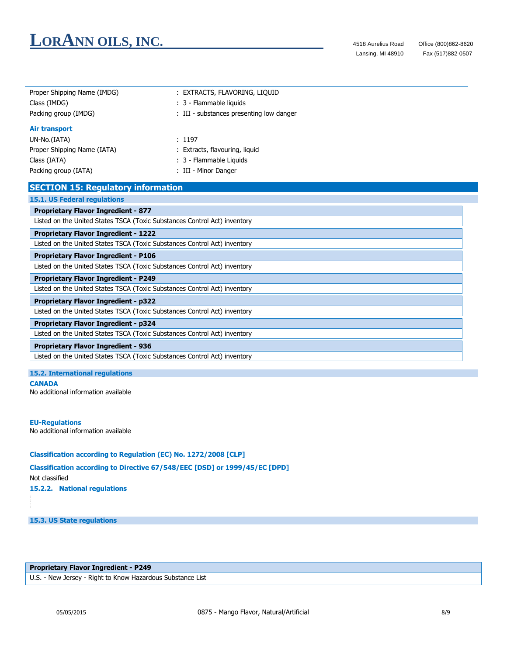| Proper Shipping Name (IMDG)<br>: EXTRACTS, FLAVORING, LIQUID              |                                          |  |
|---------------------------------------------------------------------------|------------------------------------------|--|
| Class (IMDG)                                                              | : 3 - Flammable liquids                  |  |
| Packing group (IMDG)                                                      | : III - substances presenting low danger |  |
| <b>Air transport</b>                                                      |                                          |  |
| UN-No.(IATA)                                                              | : 1197                                   |  |
| Proper Shipping Name (IATA)                                               | : Extracts, flavouring, liquid           |  |
| Class (IATA)                                                              | : 3 - Flammable Liquids                  |  |
| Packing group (IATA)                                                      | : III - Minor Danger                     |  |
| <b>SECTION 15: Regulatory information</b>                                 |                                          |  |
| <b>15.1. US Federal regulations</b>                                       |                                          |  |
| <b>Proprietary Flavor Ingredient - 877</b>                                |                                          |  |
| Listed on the United States TSCA (Toxic Substances Control Act) inventory |                                          |  |
| <b>Proprietary Flavor Ingredient - 1222</b>                               |                                          |  |
| Listed on the United States TSCA (Toxic Substances Control Act) inventory |                                          |  |
| <b>Proprietary Flavor Ingredient - P106</b>                               |                                          |  |
| Listed on the United States TSCA (Toxic Substances Control Act) inventory |                                          |  |
| <b>Proprietary Flavor Ingredient - P249</b>                               |                                          |  |
| Listed on the United States TSCA (Toxic Substances Control Act) inventory |                                          |  |
| <b>Proprietary Flavor Ingredient - p322</b>                               |                                          |  |
| Listed on the United States TSCA (Toxic Substances Control Act) inventory |                                          |  |
| <b>Proprietary Flavor Ingredient - p324</b>                               |                                          |  |
| Listed on the United States TSCA (Toxic Substances Control Act) inventory |                                          |  |
| <b>Proprietary Flavor Ingredient - 936</b>                                |                                          |  |
| Listed on the United States TSCA (Toxic Substances Control Act) inventory |                                          |  |

#### **15.2. International regulations**

#### **CANADA**

No additional information available

#### **EU-Regulations**

No additional information available

### **Classification according to Regulation (EC) No. 1272/2008 [CLP]**

### **Classification according to Directive 67/548/EEC [DSD] or 1999/45/EC [DPD]**

Not classified

**15.2.2. National regulations**

### **15.3. US State regulations**

### **Proprietary Flavor Ingredient - P249**

U.S. - New Jersey - Right to Know Hazardous Substance List